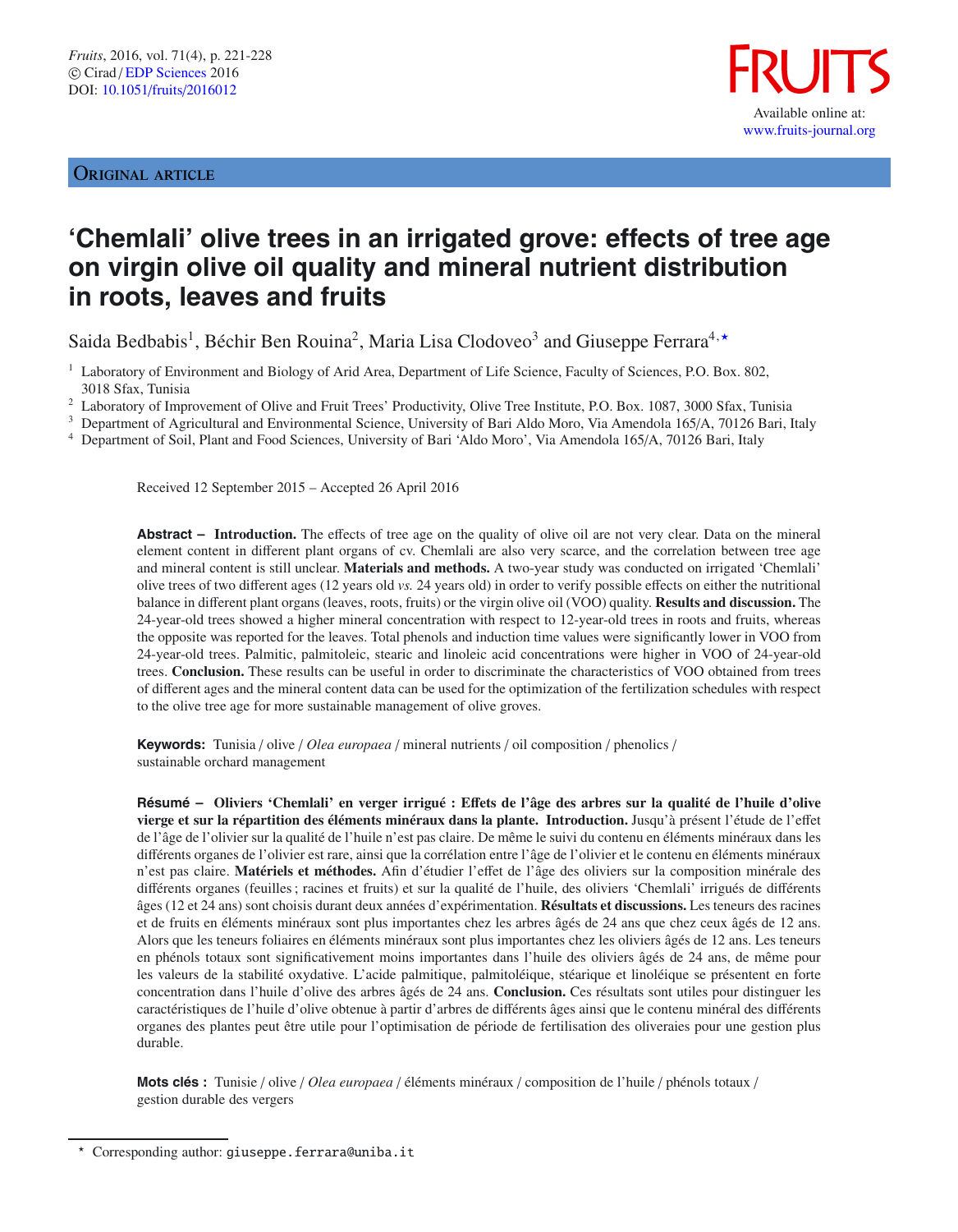# ORIGINAL ARTICLE



# **'Chemlali' olive trees in an irrigated grove: effects of tree age on virgin olive oil quality and mineral nutrient distribution in roots, leaves and fruits**

Saida Bedbabis<sup>1</sup>, Béchir Ben Rouina<sup>2</sup>, Maria Lisa Clodoveo<sup>3</sup> and Giuseppe Ferrara<sup>4,\*</sup>

<sup>1</sup> Laboratory of Environment and Biology of Arid Area, Department of Life Science, Faculty of Sciences, P.O. Box. 802, 3018 Sfax, Tunisia

<sup>2</sup> Laboratory of Improvement of Olive and Fruit Trees' Productivity, Olive Tree Institute, P.O. Box. 1087, 3000 Sfax, Tunisia

<sup>3</sup> Department of Agricultural and Environmental Science, University of Bari Aldo Moro, Via Amendola 165/A, 70126 Bari, Italy

<sup>4</sup> Department of Soil, Plant and Food Sciences, University of Bari 'Aldo Moro', Via Amendola 165/A, 70126 Bari, Italy

Received 12 September 2015 – Accepted 26 April 2016

**Abstract – Introduction.** The effects of tree age on the quality of olive oil are not very clear. Data on the mineral element content in different plant organs of cv. Chemlali are also very scarce, and the correlation between tree age and mineral content is still unclear. **Materials and methods.** A two-year study was conducted on irrigated 'Chemlali' olive trees of two different ages (12 years old *vs.* 24 years old) in order to verify possible effects on either the nutritional balance in different plant organs (leaves, roots, fruits) or the virgin olive oil (VOO) quality. **Results and discussion.** The 24-year-old trees showed a higher mineral concentration with respect to 12-year-old trees in roots and fruits, whereas the opposite was reported for the leaves. Total phenols and induction time values were significantly lower in VOO from 24-year-old trees. Palmitic, palmitoleic, stearic and linoleic acid concentrations were higher in VOO of 24-year-old trees. **Conclusion.** These results can be useful in order to discriminate the characteristics of VOO obtained from trees of different ages and the mineral content data can be used for the optimization of the fertilization schedules with respect to the olive tree age for more sustainable management of olive groves.

**Keywords:** Tunisia / olive / *Olea europaea* / mineral nutrients / oil composition / phenolics / sustainable orchard management

**Résumé – Oliviers 'Chemlali' en verger irrigué : E**ff**ets de l'âge des arbres sur la qualité de l'huile d'olive vierge et sur la répartition des éléments minéraux dans la plante. Introduction.** Jusqu'à présent l'étude de l'effet de l'âge de l'olivier sur la qualité de l'huile n'est pas claire. De même le suivi du contenu en éléments minéraux dans les différents organes de l'olivier est rare, ainsi que la corrélation entre l'âge de l'olivier et le contenu en éléments minéraux n'est pas claire. **Matériels et méthodes.** Afin d'étudier l'effet de l'âge des oliviers sur la composition minérale des différents organes (feuilles ; racines et fruits) et sur la qualité de l'huile, des oliviers 'Chemlali' irrigués de différents âges (12 et 24 ans) sont choisis durant deux années d'expérimentation. **Résultats et discussions.** Les teneurs des racines et de fruits en éléments minéraux sont plus importantes chez les arbres âgés de 24 ans que chez ceux âgés de 12 ans. Alors que les teneurs foliaires en éléments minéraux sont plus importantes chez les oliviers âgés de 12 ans. Les teneurs en phénols totaux sont significativement moins importantes dans l'huile des oliviers âgés de 24 ans, de même pour les valeurs de la stabilité oxydative. L'acide palmitique, palmitoléique, stéarique et linoléique se présentent en forte concentration dans l'huile d'olive des arbres âgés de 24 ans. **Conclusion.** Ces résultats sont utiles pour distinguer les caractéristiques de l'huile d'olive obtenue à partir d'arbres de différents âges ainsi que le contenu minéral des différents organes des plantes peut être utile pour l'optimisation de période de fertilisation des oliveraies pour une gestion plus durable.

**Mots clés :** Tunisie / olive / *Olea europaea* / éléments minéraux / composition de l'huile / phénols totaux / gestion durable des vergers

 $\star$ Corresponding author: giuseppe.ferrara@uniba.it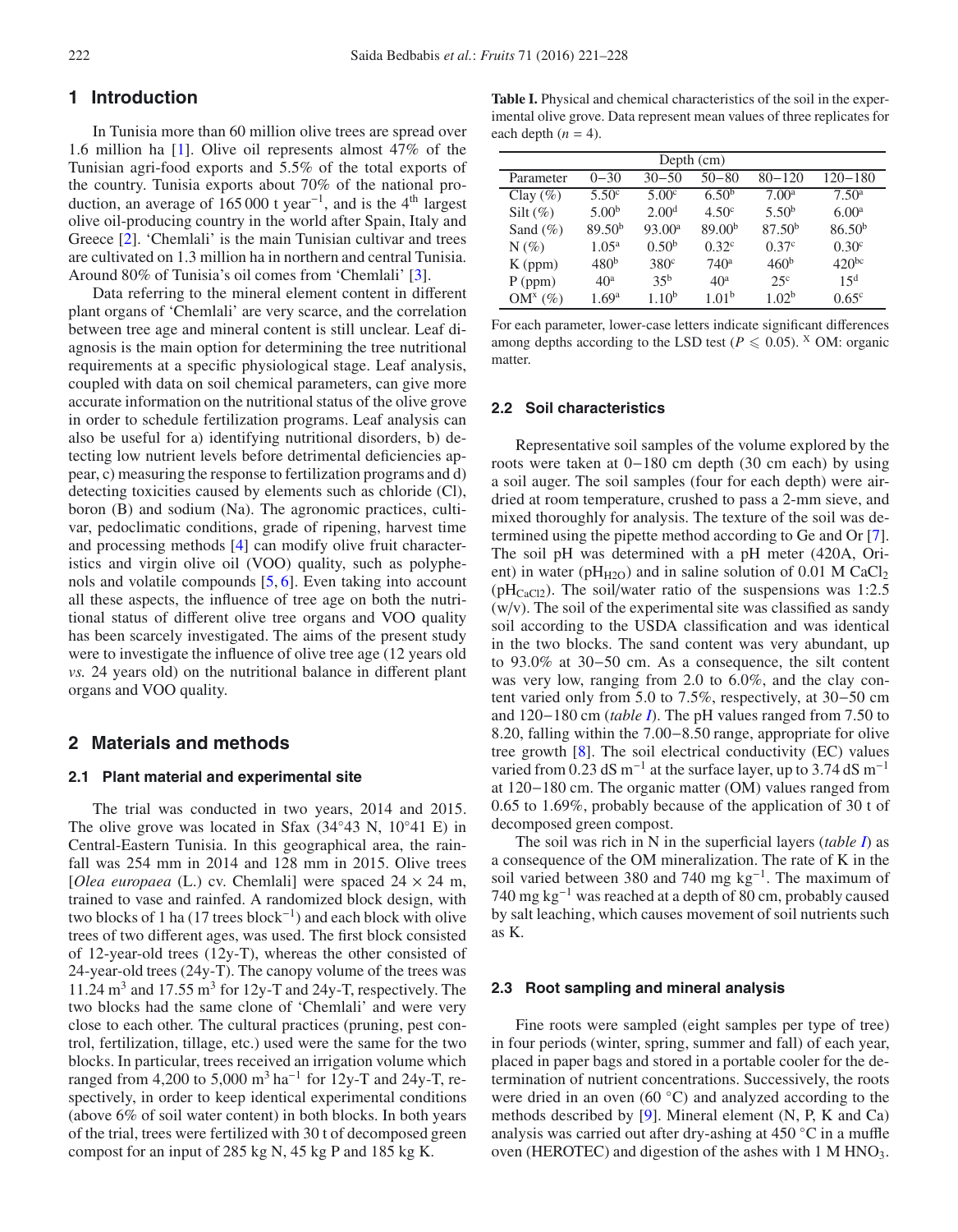# **1 Introduction**

In Tunisia more than 60 million olive trees are spread over 1.6 million ha [\[1\]](#page-6-0). Olive oil represents almost 47% of the Tunisian agri-food exports and 5.5% of the total exports of the country. Tunisia exports about 70% of the national production, an average of  $165000$  t year<sup>-1</sup>, and is the 4<sup>th</sup> largest olive oil-producing country in the world after Spain, Italy and Greece [\[2\]](#page-6-1). 'Chemlali' is the main Tunisian cultivar and trees are cultivated on 1.3 million ha in northern and central Tunisia. Around 80% of Tunisia's oil comes from 'Chemlali' [\[3](#page-6-2)].

Data referring to the mineral element content in different plant organs of 'Chemlali' are very scarce, and the correlation between tree age and mineral content is still unclear. Leaf diagnosis is the main option for determining the tree nutritional requirements at a specific physiological stage. Leaf analysis, coupled with data on soil chemical parameters, can give more accurate information on the nutritional status of the olive grove in order to schedule fertilization programs. Leaf analysis can also be useful for a) identifying nutritional disorders, b) detecting low nutrient levels before detrimental deficiencies appear, c) measuring the response to fertilization programs and d) detecting toxicities caused by elements such as chloride (Cl), boron (B) and sodium (Na). The agronomic practices, cultivar, pedoclimatic conditions, grade of ripening, harvest time and processing methods [\[4\]](#page-6-3) can modify olive fruit characteristics and virgin olive oil (VOO) quality, such as polyphenols and volatile compounds [\[5](#page-6-4), [6\]](#page-6-5). Even taking into account all these aspects, the influence of tree age on both the nutritional status of different olive tree organs and VOO quality has been scarcely investigated. The aims of the present study were to investigate the influence of olive tree age (12 years old *vs.* 24 years old) on the nutritional balance in different plant organs and VOO quality.

# **2 Materials and methods**

# **2.1 Plant material and experimental site**

The trial was conducted in two years, 2014 and 2015. The olive grove was located in Sfax (34◦43 N, 10◦41 E) in Central-Eastern Tunisia. In this geographical area, the rainfall was 254 mm in 2014 and 128 mm in 2015. Olive trees [*Olea europaea* (L.) cv. Chemlali] were spaced  $24 \times 24$  m, trained to vase and rainfed. A randomized block design, with two blocks of 1 ha (17 trees block−<sup>1</sup> ) and each block with olive trees of two different ages, was used. The first block consisted of 12-year-old trees (12y-T), whereas the other consisted of 24-year-old trees (24y-T). The canopy volume of the trees was 11.24  $\text{m}^3$  and 17.55  $\text{m}^3$  for 12y-T and 24y-T, respectively. The two blocks had the same clone of 'Chemlali' and were very close to each other. The cultural practices (pruning, pest control, fertilization, tillage, etc.) used were the same for the two blocks. In particular, trees received an irrigation volume which ranged from 4,200 to 5,000 m<sup>3</sup> ha<sup>-1</sup> for 12y-T and 24y-T, respectively, in order to keep identical experimental conditions (above 6% of soil water content) in both blocks. In both years of the trial, trees were fertilized with 30 t of decomposed green compost for an input of 285 kg N, 45 kg P and 185 kg K.

<span id="page-1-0"></span>**Table I.** Physical and chemical characteristics of the soil in the experimental olive grove. Data represent mean values of three replicates for each depth  $(n = 4)$ .

| Depth $(cm)$ |                    |                    |                    |                    |                    |  |  |
|--------------|--------------------|--------------------|--------------------|--------------------|--------------------|--|--|
| Parameter    | $0 - 30$           | $30 - 50$          | $50 - 80$          | $80 - 120$         | $120 - 180$        |  |  |
| Clay $(\% )$ | 5.50 <sup>c</sup>  | 5.00 <sup>c</sup>  | 6.50 <sup>b</sup>  | 7.00 <sup>a</sup>  | 7.50 <sup>a</sup>  |  |  |
| Silt $(\%)$  | 5.00 <sup>b</sup>  | 2.00 <sup>d</sup>  | 4.50 <sup>c</sup>  | 5.50 <sup>b</sup>  | 6.00 <sup>a</sup>  |  |  |
| Sand $(\% )$ | 89.50 <sup>b</sup> | 93.00 <sup>a</sup> | 89.00 <sup>b</sup> | 87.50 <sup>b</sup> | 86.50 <sup>b</sup> |  |  |
| $N(\%)$      | $1.05^{\rm a}$     | 0.50 <sup>b</sup>  | 0.32 <sup>c</sup>  | 0.37 <sup>c</sup>  | 0.30 <sup>c</sup>  |  |  |
| $K$ (ppm)    | 480 <sup>b</sup>   | 380 <sup>c</sup>   | $740^{\rm a}$      | 460 <sup>b</sup>   | $420^{bc}$         |  |  |
| $P$ (ppm)    | 40 <sup>a</sup>    | $35^{\rm b}$       | 40 <sup>a</sup>    | 25 <sup>c</sup>    | $15^d$             |  |  |
| $OM^x(\%)$   | 1.69 <sup>a</sup>  | $1.10^{b}$         | 1.01 <sup>b</sup>  | 1.02 <sup>b</sup>  | $0.65^{\circ}$     |  |  |

For each parameter, lower-case letters indicate significant differences among depths according to the LSD test ( $P \le 0.05$ ). <sup>X</sup> OM: organic matter.

## **2.2 Soil characteristics**

Representative soil samples of the volume explored by the roots were taken at 0−180 cm depth (30 cm each) by using a soil auger. The soil samples (four for each depth) were airdried at room temperature, crushed to pass a 2-mm sieve, and mixed thoroughly for analysis. The texture of the soil was determined using the pipette method according to Ge and Or [\[7](#page-6-6)]. The soil pH was determined with a pH meter (420A, Orient) in water ( $pH_{H2O}$ ) and in saline solution of 0.01 M CaCl<sub>2</sub> ( $pH_{CaCl2}$ ). The soil/water ratio of the suspensions was 1:2.5  $(w/v)$ . The soil of the experimental site was classified as sandy soil according to the USDA classification and was identical in the two blocks. The sand content was very abundant, up to 93.0% at 30−50 cm. As a consequence, the silt content was very low, ranging from 2.0 to 6.0%, and the clay content varied only from 5.0 to 7.5%, respectively, at 30−50 cm and 120−180 cm (*table [I](#page-1-0)*). The pH values ranged from 7.50 to 8.20, falling within the 7.00−8.50 range, appropriate for olive tree growth [\[8](#page-6-7)]. The soil electrical conductivity (EC) values varied from 0.23 dS m<sup>-1</sup> at the surface layer, up to 3.74 dS m<sup>-1</sup> at 120−180 cm. The organic matter (OM) values ranged from 0.65 to 1.69%, probably because of the application of 30 t of decomposed green compost.

The soil was rich in N in the superficial layers (*table [I](#page-1-0)*) as a consequence of the OM mineralization. The rate of K in the soil varied between 380 and 740 mg kg−1. The maximum of 740 mg kg−<sup>1</sup> was reached at a depth of 80 cm, probably caused by salt leaching, which causes movement of soil nutrients such as K.

#### **2.3 Root sampling and mineral analysis**

Fine roots were sampled (eight samples per type of tree) in four periods (winter, spring, summer and fall) of each year, placed in paper bags and stored in a portable cooler for the determination of nutrient concentrations. Successively, the roots were dried in an oven (60 ◦C) and analyzed according to the methods described by [\[9\]](#page-6-8). Mineral element (N, P, K and Ca) analysis was carried out after dry-ashing at 450 ◦C in a muffle oven (HEROTEC) and digestion of the ashes with 1 M HNO<sub>3</sub>.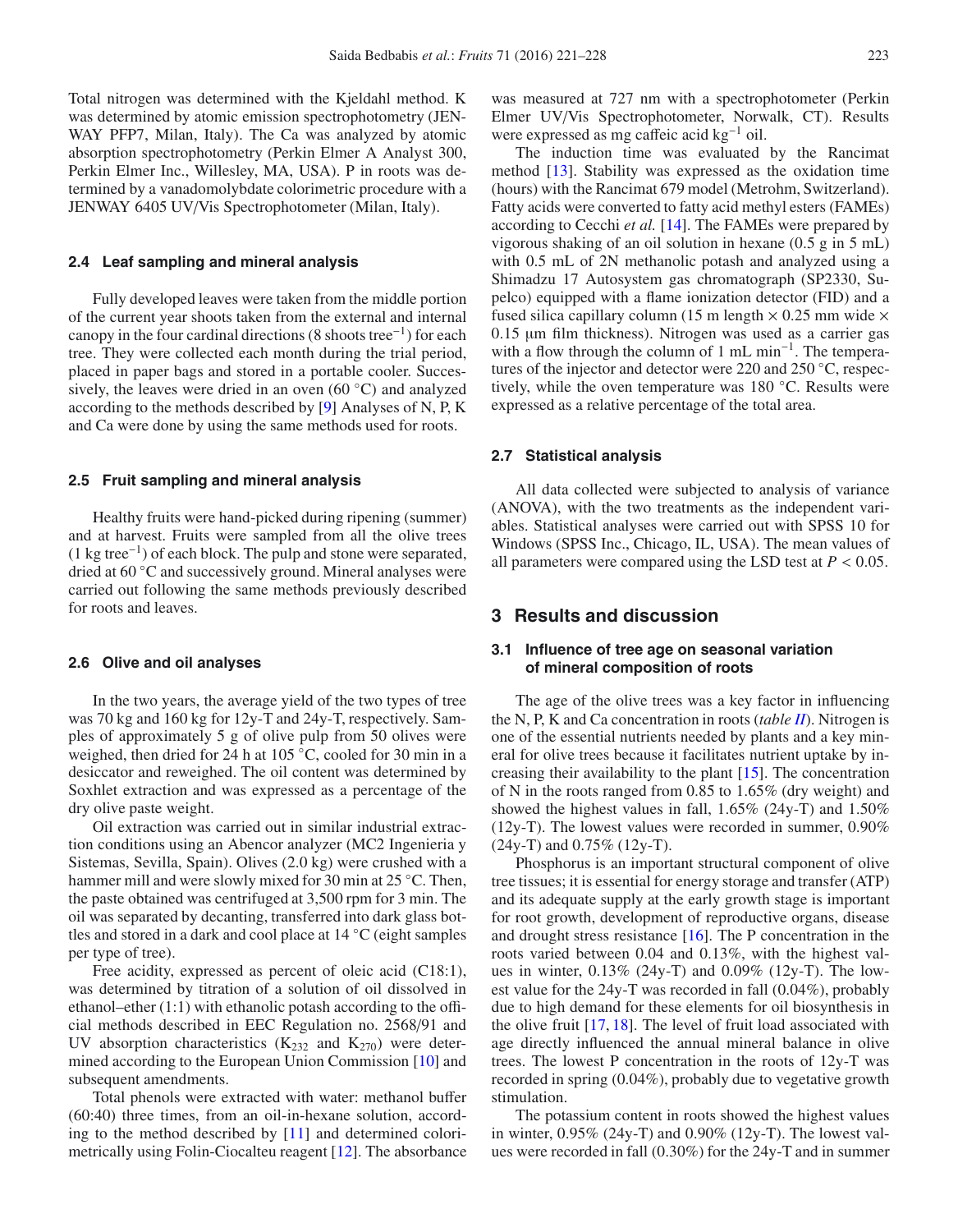Total nitrogen was determined with the Kjeldahl method. K was determined by atomic emission spectrophotometry (JEN-WAY PFP7, Milan, Italy). The Ca was analyzed by atomic absorption spectrophotometry (Perkin Elmer A Analyst 300, Perkin Elmer Inc., Willesley, MA, USA). P in roots was determined by a vanadomolybdate colorimetric procedure with a JENWAY 6405 UV/Vis Spectrophotometer (Milan, Italy).

## **2.4 Leaf sampling and mineral analysis**

Fully developed leaves were taken from the middle portion of the current year shoots taken from the external and internal canopy in the four cardinal directions (8 shoots tree−1) for each tree. They were collected each month during the trial period, placed in paper bags and stored in a portable cooler. Successively, the leaves were dried in an oven (60 °C) and analyzed according to the methods described by [\[9](#page-6-8)] Analyses of N, P, K and Ca were done by using the same methods used for roots.

### **2.5 Fruit sampling and mineral analysis**

Healthy fruits were hand-picked during ripening (summer) and at harvest. Fruits were sampled from all the olive trees (1 kg tree−1) of each block. The pulp and stone were separated, dried at 60 ◦C and successively ground. Mineral analyses were carried out following the same methods previously described for roots and leaves.

#### **2.6 Olive and oil analyses**

In the two years, the average yield of the two types of tree was 70 kg and 160 kg for 12y-T and 24y-T, respectively. Samples of approximately 5 g of olive pulp from 50 olives were weighed, then dried for 24 h at 105 ◦C, cooled for 30 min in a desiccator and reweighed. The oil content was determined by Soxhlet extraction and was expressed as a percentage of the dry olive paste weight.

Oil extraction was carried out in similar industrial extraction conditions using an Abencor analyzer (MC2 Ingenieria y Sistemas, Sevilla, Spain). Olives (2.0 kg) were crushed with a hammer mill and were slowly mixed for 30 min at 25 °C. Then, the paste obtained was centrifuged at 3,500 rpm for 3 min. The oil was separated by decanting, transferred into dark glass bottles and stored in a dark and cool place at 14 ◦C (eight samples per type of tree).

Free acidity, expressed as percent of oleic acid (C18:1), was determined by titration of a solution of oil dissolved in ethanol–ether (1:1) with ethanolic potash according to the official methods described in EEC Regulation no. 2568/91 and UV absorption characteristics  $(K<sub>232</sub>$  and  $K<sub>270</sub>)$  were determined according to the European Union Commission [\[10\]](#page-6-9) and subsequent amendments.

Total phenols were extracted with water: methanol buffer (60:40) three times, from an oil-in-hexane solution, according to the method described by [\[11\]](#page-6-10) and determined colorimetrically using Folin-Ciocalteu reagent [\[12](#page-6-11)]. The absorbance was measured at 727 nm with a spectrophotometer (Perkin Elmer UV/Vis Spectrophotometer, Norwalk, CT). Results were expressed as mg caffeic acid kg−<sup>1</sup> oil.

The induction time was evaluated by the Rancimat method [\[13\]](#page-6-12). Stability was expressed as the oxidation time (hours) with the Rancimat 679 model (Metrohm, Switzerland). Fatty acids were converted to fatty acid methyl esters (FAMEs) according to Cecchi *et al.* [\[14\]](#page-6-13). The FAMEs were prepared by vigorous shaking of an oil solution in hexane (0.5 g in 5 mL) with 0.5 mL of 2N methanolic potash and analyzed using a Shimadzu 17 Autosystem gas chromatograph (SP2330, Supelco) equipped with a flame ionization detector (FID) and a fused silica capillary column (15 m length  $\times$  0.25 mm wide  $\times$ 0.15 µm film thickness). Nitrogen was used as a carrier gas with a flow through the column of 1 mL min<sup>-1</sup>. The temperatures of the injector and detector were 220 and 250 ◦C, respectively, while the oven temperature was 180 ◦C. Results were expressed as a relative percentage of the total area.

#### **2.7 Statistical analysis**

All data collected were subjected to analysis of variance (ANOVA), with the two treatments as the independent variables. Statistical analyses were carried out with SPSS 10 for Windows (SPSS Inc., Chicago, IL, USA). The mean values of all parameters were compared using the LSD test at  $P < 0.05$ .

# **3 Results and discussion**

## **3.1 Influence of tree age on seasonal variation of mineral composition of roots**

The age of the olive trees was a key factor in influencing the N, P, K and Ca concentration in roots (*table [II](#page-3-0)*). Nitrogen is one of the essential nutrients needed by plants and a key mineral for olive trees because it facilitates nutrient uptake by increasing their availability to the plant [\[15\]](#page-6-14). The concentration of N in the roots ranged from 0.85 to 1.65% (dry weight) and showed the highest values in fall, 1.65% (24y-T) and 1.50% (12y-T). The lowest values were recorded in summer, 0.90% (24y-T) and 0.75% (12y-T).

Phosphorus is an important structural component of olive tree tissues; it is essential for energy storage and transfer (ATP) and its adequate supply at the early growth stage is important for root growth, development of reproductive organs, disease and drought stress resistance [\[16](#page-6-15)]. The P concentration in the roots varied between 0.04 and 0.13%, with the highest values in winter, 0.13% (24y-T) and 0.09% (12y-T). The lowest value for the 24y-T was recorded in fall (0.04%), probably due to high demand for these elements for oil biosynthesis in the olive fruit [\[17,](#page-6-16) [18\]](#page-6-17). The level of fruit load associated with age directly influenced the annual mineral balance in olive trees. The lowest P concentration in the roots of 12y-T was recorded in spring (0.04%), probably due to vegetative growth stimulation.

The potassium content in roots showed the highest values in winter, 0.95% (24y-T) and 0.90% (12y-T). The lowest values were recorded in fall (0.30%) for the 24y-T and in summer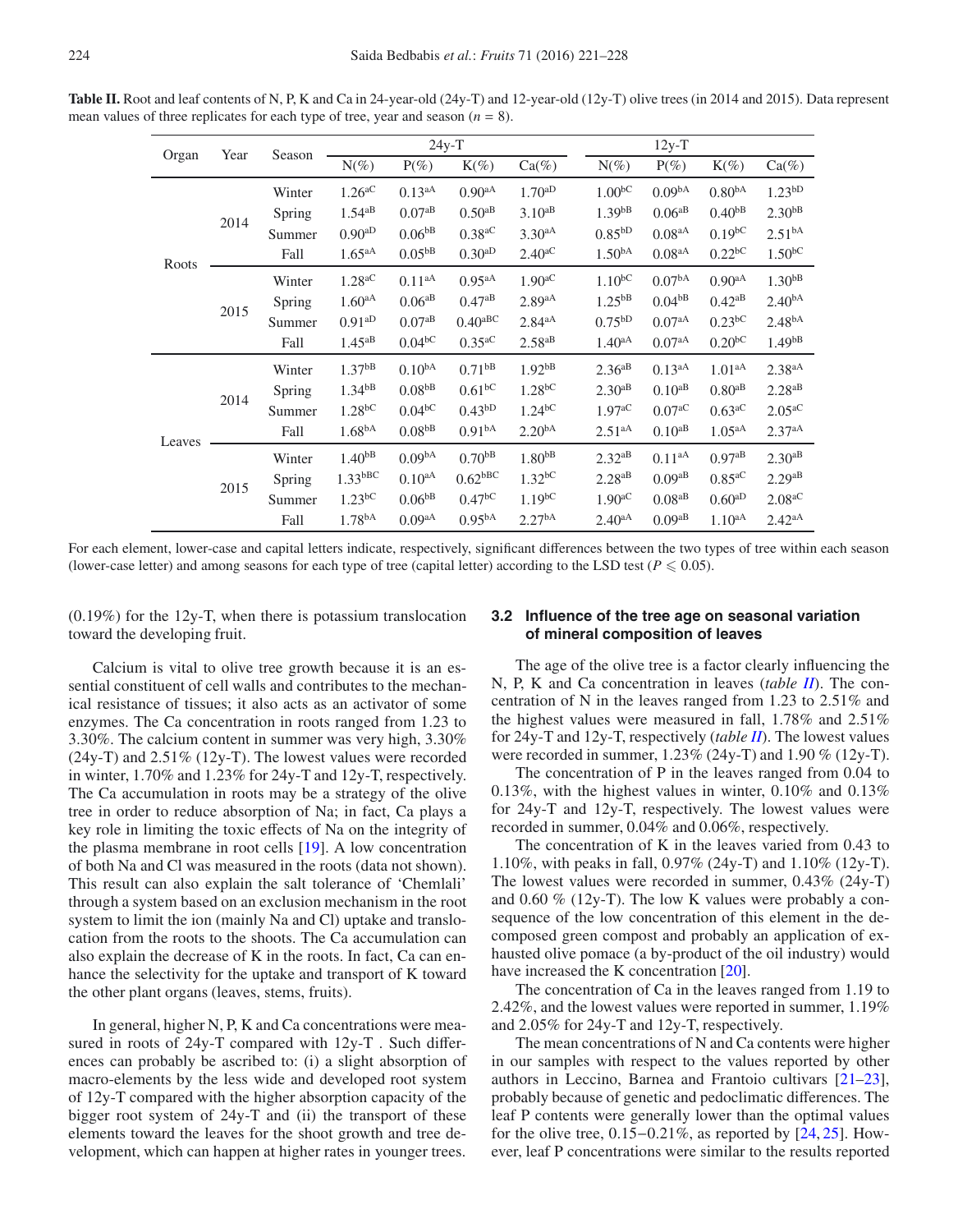<span id="page-3-0"></span>**Table II.** Root and leaf contents of N, P, K and Ca in 24-year-old (24y-T) and 12-year-old (12y-T) olive trees (in 2014 and 2015). Data represent mean values of three replicates for each type of tree, year and season  $(n = 8)$ .

| Year<br>Organ          |  | Season | $24y-T$              |                      |                       |                      |                      | $12y-T$              |                      |                      |
|------------------------|--|--------|----------------------|----------------------|-----------------------|----------------------|----------------------|----------------------|----------------------|----------------------|
|                        |  |        | $N(\%)$              | $P(\%)$              | $K(\%)$               | $Ca(\%)$             | $N(\%)$              | $P(\%)$              | $K(\%)$              | $Ca(\%)$             |
| 2014<br>Roots<br>2015  |  | Winter | $1.26$ <sup>aC</sup> | $0.13^{aA}$          | $0.90^{aA}$           | $1.70^{aD}$          | $1.00^{bC}$          | 0.09 <sup>bA</sup>   | 0.80 <sup>bA</sup>   | 1.23 <sup>bD</sup>   |
|                        |  | Spring | $1.54^{aB}$          | $0.07^{aB}$          | $0.50^{aB}$           | $3.10^{aB}$          | $1.39^{bB}$          | $0.06^{aB}$          | $0.40^{bB}$          | $2.30^{bB}$          |
|                        |  | Summer | $0.90^{aD}$          | $0.06^{bB}$          | $0.38$ <sup>aC</sup>  | $3.30^{aA}$          | $0.85^{bD}$          | 0.08 <sup>aA</sup>   | $0.19^{bC}$          | 2.51 <sup>bA</sup>   |
|                        |  | Fall   | 1.65 <sup>aA</sup>   | $0.05^{\rm bB}$      | $0.30^{aD}$           | $2.40^{\mathrm{aC}}$ | 1.50 <sup>bA</sup>   | 0.08 <sup>aA</sup>   | $0.22$ <sup>bC</sup> | $1.50^{bC}$          |
|                        |  | Winter | $1.28$ <sup>aC</sup> | $0.11^{aA}$          | $0.95aA}$             | 1.90 <sup>aC</sup>   | $1.10^{bC}$          | 0.07 <sup>bA</sup>   | $0.90^{aA}$          | 1.30 <sup>bB</sup>   |
|                        |  | Spring | $1.60^{aA}$          | $0.06^{aB}$          | $0.47^{aB}$           | $2.89$ <sup>aA</sup> | $1.25^{bB}$          | 0.04 <sup>bB</sup>   | $0.42^{aB}$          | $2.40^{bA}$          |
|                        |  | Summer | $0.91^{aD}$          | $0.07^{aB}$          | $0.40^{\mathrm{aBC}}$ | $2.84^{aA}$          | 0.75 <sup>bD</sup>   | 0.07aA               | $0.23$ <sub>bC</sub> | 2.48 <sup>bA</sup>   |
|                        |  | Fall   | $1.45^{aB}$          | $0.04$ <sup>bC</sup> | $0.35$ <sup>aC</sup>  | $2.58$ <sup>aB</sup> | 1.40 <sup>aA</sup>   | 0.07 <sup>aA</sup>   | 0.20 <sup>bC</sup>   | 1.49 <sup>bB</sup>   |
| 2014<br>Leaves<br>2015 |  | Winter | $1.37^{bB}$          | 0.10 <sup>bA</sup>   | $0.71^{bB}$           | 1.92 <sup>bB</sup>   | $2.36^{aB}$          | $0.13^{aA}$          | 1.01 <sup>aA</sup>   | 2.38 <sup>aA</sup>   |
|                        |  | Spring | $1.34^{bB}$          | 0.08 <sup>bB</sup>   | $0.61$ <sub>bC</sub>  | $1.28$ <sup>bC</sup> | $2.30^{aB}$          | $0.10^{aB}$          | $0.80^{aB}$          | $2.28^{aB}$          |
|                        |  | Summer | $1.28$ <sup>bC</sup> | $0.04$ <sup>bC</sup> | $0.43^{bD}$           | $1.24$ <sup>bC</sup> | $1.97^{\mathrm{aC}}$ | $0.07$ <sup>aC</sup> | $0.63$ <sup>aC</sup> | $2.05^{\mathrm{aC}}$ |
|                        |  | Fall   | 1.68 <sup>bA</sup>   | 0.08 <sup>bB</sup>   | 0.91 <sup>bA</sup>    | 2.20 <sup>bA</sup>   | $2.51^{aA}$          | $0.10^{aB}$          | 1.05 <sup>aA</sup>   | $2.37^{aA}$          |
|                        |  | Winter | 1.40 <sup>bB</sup>   | 0.09 <sup>bA</sup>   | 0.70 <sup>bB</sup>    | 1.80 <sup>bB</sup>   | $2.32^{aB}$          | $0.11^{aA}$          | $0.97aB}$            | $2.30^{aB}$          |
|                        |  | Spring | $1.33$ bBC           | $0.10^{aA}$          | $0.62$ <sup>bBC</sup> | $1.32^{bC}$          | $2.28^{aB}$          | $0.09$ <sup>aB</sup> | $0.85$ <sup>aC</sup> | $2.29^{aB}$          |
|                        |  | Summer | $1.23$ <sup>bC</sup> | $0.06^{bB}$          | $0.47$ <sup>bC</sup>  | $1.19^{bC}$          | $1.90^{\mathrm{aC}}$ | $0.08$ <sup>aB</sup> | $0.60^{aD}$          | $2.08$ <sup>aC</sup> |
|                        |  | Fall   | 1.78 <sup>bA</sup>   | 0.09aA               | 0.95 <sup>bA</sup>    | 2.27 <sup>bA</sup>   | $2.40^{aA}$          | $0.09$ <sup>aB</sup> | $1.10^{aA}$          | $2.42^{aA}$          |

For each element, lower-case and capital letters indicate, respectively, significant differences between the two types of tree within each season (lower-case letter) and among seasons for each type of tree (capital letter) according to the LSD test ( $P \le 0.05$ ).

(0.19%) for the 12y-T, when there is potassium translocation toward the developing fruit.

Calcium is vital to olive tree growth because it is an essential constituent of cell walls and contributes to the mechanical resistance of tissues; it also acts as an activator of some enzymes. The Ca concentration in roots ranged from 1.23 to 3.30%. The calcium content in summer was very high, 3.30% (24y-T) and 2.51% (12y-T). The lowest values were recorded in winter, 1.70% and 1.23% for 24y-T and 12y-T, respectively. The Ca accumulation in roots may be a strategy of the olive tree in order to reduce absorption of Na; in fact, Ca plays a key role in limiting the toxic effects of Na on the integrity of the plasma membrane in root cells [\[19\]](#page-6-18). A low concentration of both Na and Cl was measured in the roots (data not shown). This result can also explain the salt tolerance of 'Chemlali' through a system based on an exclusion mechanism in the root system to limit the ion (mainly Na and Cl) uptake and translocation from the roots to the shoots. The Ca accumulation can also explain the decrease of K in the roots. In fact, Ca can enhance the selectivity for the uptake and transport of K toward the other plant organs (leaves, stems, fruits).

In general, higher N, P, K and Ca concentrations were measured in roots of 24y-T compared with 12y-T . Such differences can probably be ascribed to: (i) a slight absorption of macro-elements by the less wide and developed root system of 12y-T compared with the higher absorption capacity of the bigger root system of 24y-T and (ii) the transport of these elements toward the leaves for the shoot growth and tree development, which can happen at higher rates in younger trees.

## **3.2 Influence of the tree age on seasonal variation of mineral composition of leaves**

The age of the olive tree is a factor clearly influencing the N, P, K and Ca concentration in leaves (*table [II](#page-3-0)*). The concentration of N in the leaves ranged from 1.23 to 2.51% and the highest values were measured in fall, 1.78% and 2.51% for 24y-T and 12y-T, respectively (*table [II](#page-3-0)*). The lowest values were recorded in summer, 1.23% (24y-T) and 1.90 % (12y-T).

The concentration of P in the leaves ranged from 0.04 to 0.13%, with the highest values in winter, 0.10% and 0.13% for 24y-T and 12y-T, respectively. The lowest values were recorded in summer, 0.04% and 0.06%, respectively.

The concentration of K in the leaves varied from 0.43 to 1.10%, with peaks in fall, 0.97% (24y-T) and 1.10% (12y-T). The lowest values were recorded in summer, 0.43% (24y-T) and 0.60 % (12y-T). The low K values were probably a consequence of the low concentration of this element in the decomposed green compost and probably an application of exhausted olive pomace (a by-product of the oil industry) would have increased the K concentration [\[20\]](#page-6-19).

The concentration of Ca in the leaves ranged from 1.19 to 2.42%, and the lowest values were reported in summer, 1.19% and 2.05% for 24y-T and 12y-T, respectively.

The mean concentrations of N and Ca contents were higher in our samples with respect to the values reported by other authors in Leccino, Barnea and Frantoio cultivars [\[21](#page-6-20)[–23](#page-6-21)], probably because of genetic and pedoclimatic differences. The leaf P contents were generally lower than the optimal values for the olive tree, 0.15−0.21%, as reported by [\[24,](#page-6-22) [25\]](#page-6-23). However, leaf P concentrations were similar to the results reported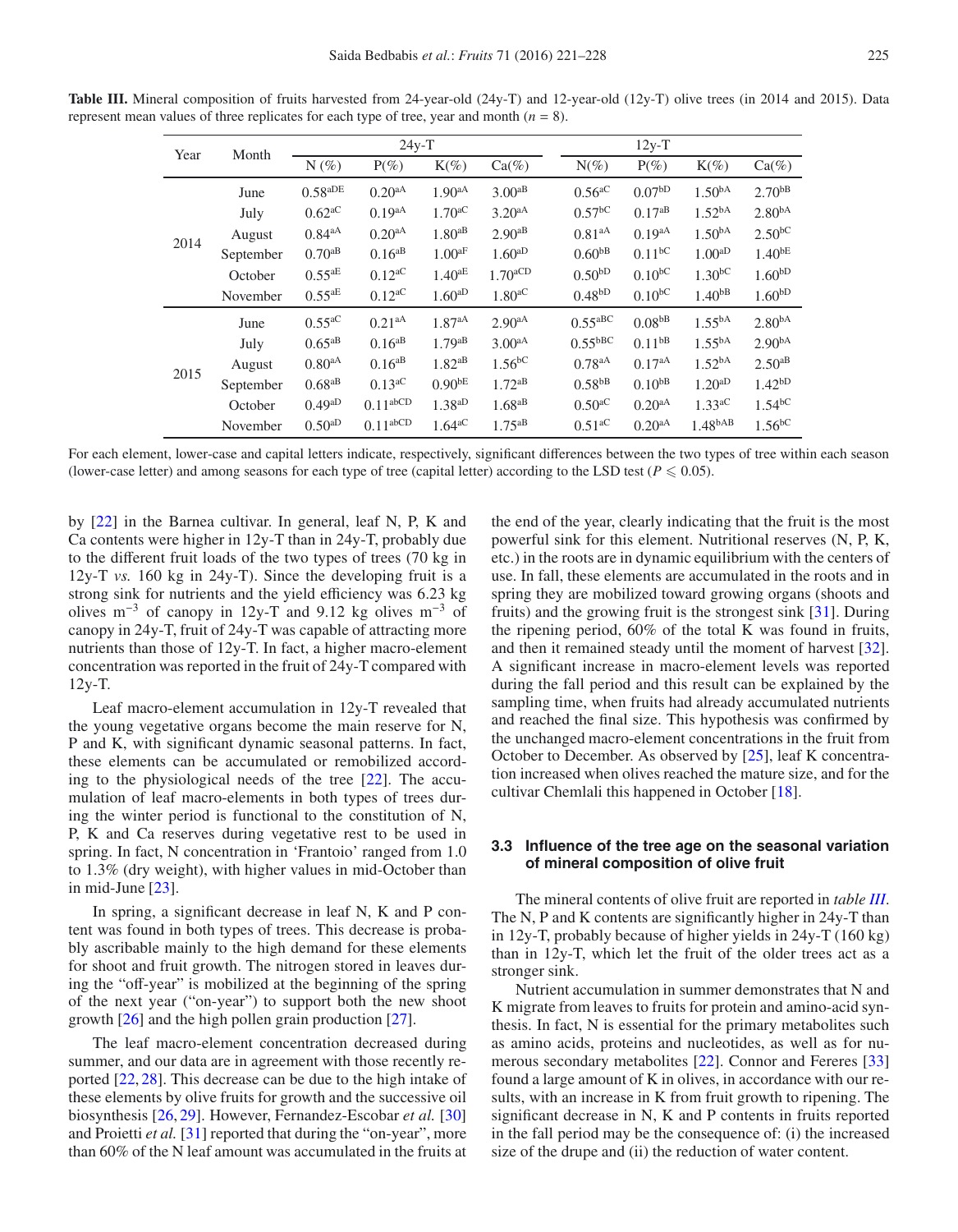| Year | Month     | $24y-T$                         |                      |                      |                       |                                 | $12y-T$            |                      |                    |
|------|-----------|---------------------------------|----------------------|----------------------|-----------------------|---------------------------------|--------------------|----------------------|--------------------|
|      |           | $N(\%)$                         | $P(\%)$              | $K(\%)$              | $Ca(\%)$              | $N(\%)$                         | $P(\%)$            | $K(\%)$              | $Ca(\%)$           |
|      | June      | $0.58^{\mathrm{aDE}}$           | $0.20^{aA}$          | $1.90^{aA}$          | $3.00^{aB}$           | $0.56$ <sup>aC</sup>            | 0.07 <sup>bD</sup> | 1.50 <sup>bA</sup>   | $2.70^{bB}$        |
|      | July      | $0.62$ <sup>aC</sup>            | $0.19^{aA}$          | $1.70^{aC}$          | $3.20^{aA}$           | $0.57$ <sup>bC</sup>            | $0.17^{aB}$        | 1.52 <sup>bA</sup>   | 2.80 <sup>bA</sup> |
| 2014 | August    | 0.84 <sup>aA</sup>              | $0.20^{aA}$          | $1.80^{aB}$          | $2.90^{aB}$           | $0.81^{aA}$                     | $0.19^{aA}$        | 1.50 <sup>bA</sup>   | $2.50^{bC}$        |
|      | September | $0.70^{aB}$                     | $0.16^{aB}$          | $1.00^{\text{aF}}$   | $1.60^{aD}$           | 0.60 <sup>bB</sup>              | $0.11^{bC}$        | 1.00 <sup>aD</sup>   | $1.40^{bE}$        |
|      | October   | $0.55^{\mbox{\scriptsize{aE}}}$ | $0.12$ <sup>aC</sup> | $1.40^{\text{aE}}$   | $1.70$ <sup>aCD</sup> | 0.50 <sup>bD</sup>              | $0.10^{bC}$        | $1.30^{bC}$          | 1.60 <sub>PD</sub> |
|      | November  | $0.55^{\text{aE}}$              | $0.12$ <sup>aC</sup> | $1.60^{aD}$          | 1.80 <sup>aC</sup>    | 0.48 <sup>bD</sup>              | $0.10^{bC}$        | $1.40^{bB}$          | 1.60 <sup>bD</sup> |
|      | June      | $0.55$ <sup>aC</sup>            | 0.21 <sup>aA</sup>   | 1.87 <sup>aA</sup>   | $2.90^{aA}$           | $0.55$ <sub>aBC</sub>           | 0.08 <sup>bB</sup> | $1.55^{bA}$          | 2.80 <sup>bA</sup> |
|      | July      | $0.65^{aB}$                     | $0.16^{aB}$          | $1.79$ <sup>aB</sup> | $3.00^{aA}$           | $0.55$ <sub>bBC</sub>           | $0.11^{bB}$        | 1.55 <sup>bA</sup>   | $2.90^{bA}$        |
| 2015 | August    | 0.80 <sup>aA</sup>              | $0.16^{aB}$          | $1.82$ <sup>aB</sup> | $1.56$ <sup>bC</sup>  | $0.78^{aA}$                     | $0.17^{aA}$        | 1.52 <sup>bA</sup>   | $2.50^{aB}$        |
|      | September | $0.68^{\rm aB}$                 | $0.13$ <sup>aC</sup> | $0.90^{bE}$          | $1.72^{aB}$           | $0.58\ensuremath{^\mathrm{bB}}$ | $0.10^{bB}$        | $1.20^{aD}$          | $1.42^{bD}$        |
|      | October   | $0.49^{aD}$                     | $0.11^{\text{abCD}}$ | $1.38$ <sup>aD</sup> | $1.68$ <sup>aB</sup>  | $0.50$ <sup>aC</sup>            | $0.20^{aA}$        | $1.33$ <sup>aC</sup> | $1.54^{bC}$        |
|      | November  | $0.50^{aD}$                     | $0.11^{\text{abCD}}$ | $1.64$ <sup>aC</sup> | $1.75$ <sup>aB</sup>  | $0.51$ <sup>aC</sup>            | 0.20 <sup>aA</sup> | 1.48 <sup>bAB</sup>  | $1.56^{bC}$        |

<span id="page-4-0"></span>**Table III.** Mineral composition of fruits harvested from 24-year-old (24y-T) and 12-year-old (12y-T) olive trees (in 2014 and 2015). Data represent mean values of three replicates for each type of tree, year and month ( $n = 8$ ).

For each element, lower-case and capital letters indicate, respectively, significant differences between the two types of tree within each season (lower-case letter) and among seasons for each type of tree (capital letter) according to the LSD test ( $P \le 0.05$ ).

by [\[22\]](#page-6-24) in the Barnea cultivar. In general, leaf N, P, K and Ca contents were higher in 12y-T than in 24y-T, probably due to the different fruit loads of the two types of trees (70 kg in 12y-T *vs.* 160 kg in 24y-T). Since the developing fruit is a strong sink for nutrients and the yield efficiency was 6.23 kg olives m<sup>-3</sup> of canopy in 12y-T and 9.12 kg olives m<sup>-3</sup> of canopy in 24y-T, fruit of 24y-T was capable of attracting more nutrients than those of 12y-T. In fact, a higher macro-element concentration was reported in the fruit of 24y-T compared with 12y-T.

Leaf macro-element accumulation in 12y-T revealed that the young vegetative organs become the main reserve for N, P and K, with significant dynamic seasonal patterns. In fact, these elements can be accumulated or remobilized according to the physiological needs of the tree [\[22\]](#page-6-24). The accumulation of leaf macro-elements in both types of trees during the winter period is functional to the constitution of N, P, K and Ca reserves during vegetative rest to be used in spring. In fact, N concentration in 'Frantoio' ranged from 1.0 to 1.3% (dry weight), with higher values in mid-October than in mid-June [\[23\]](#page-6-21).

In spring, a significant decrease in leaf N, K and P content was found in both types of trees. This decrease is probably ascribable mainly to the high demand for these elements for shoot and fruit growth. The nitrogen stored in leaves during the "off-year" is mobilized at the beginning of the spring of the next year ("on-year") to support both the new shoot growth [\[26](#page-6-25)] and the high pollen grain production [\[27](#page-6-26)].

The leaf macro-element concentration decreased during summer, and our data are in agreement with those recently reported [\[22,](#page-6-24) [28\]](#page-6-27). This decrease can be due to the high intake of these elements by olive fruits for growth and the successive oil biosynthesis [\[26,](#page-6-25) [29\]](#page-6-28). However, Fernandez-Escobar *et al.* [\[30\]](#page-6-29) and Proietti *et al.* [\[31\]](#page-6-30) reported that during the "on-year", more than 60% of the N leaf amount was accumulated in the fruits at

the end of the year, clearly indicating that the fruit is the most powerful sink for this element. Nutritional reserves (N, P, K, etc.) in the roots are in dynamic equilibrium with the centers of use. In fall, these elements are accumulated in the roots and in spring they are mobilized toward growing organs (shoots and fruits) and the growing fruit is the strongest sink [\[31](#page-6-30)]. During the ripening period, 60% of the total K was found in fruits, and then it remained steady until the moment of harvest [\[32](#page-6-31)]. A significant increase in macro-element levels was reported during the fall period and this result can be explained by the sampling time, when fruits had already accumulated nutrients and reached the final size. This hypothesis was confirmed by the unchanged macro-element concentrations in the fruit from October to December. As observed by [\[25\]](#page-6-23), leaf K concentration increased when olives reached the mature size, and for the cultivar Chemlali this happened in October [\[18\]](#page-6-17).

# **3.3 Influence of the tree age on the seasonal variation of mineral composition of olive fruit**

The mineral contents of olive fruit are reported in *table [III](#page-4-0)*. The N, P and K contents are significantly higher in 24y-T than in 12y-T, probably because of higher yields in 24y-T (160 kg) than in 12y-T, which let the fruit of the older trees act as a stronger sink.

Nutrient accumulation in summer demonstrates that N and K migrate from leaves to fruits for protein and amino-acid synthesis. In fact, N is essential for the primary metabolites such as amino acids, proteins and nucleotides, as well as for numerous secondary metabolites [\[22](#page-6-24)]. Connor and Fereres [\[33\]](#page-6-32) found a large amount of K in olives, in accordance with our results, with an increase in K from fruit growth to ripening. The significant decrease in N, K and P contents in fruits reported in the fall period may be the consequence of: (i) the increased size of the drupe and (ii) the reduction of water content.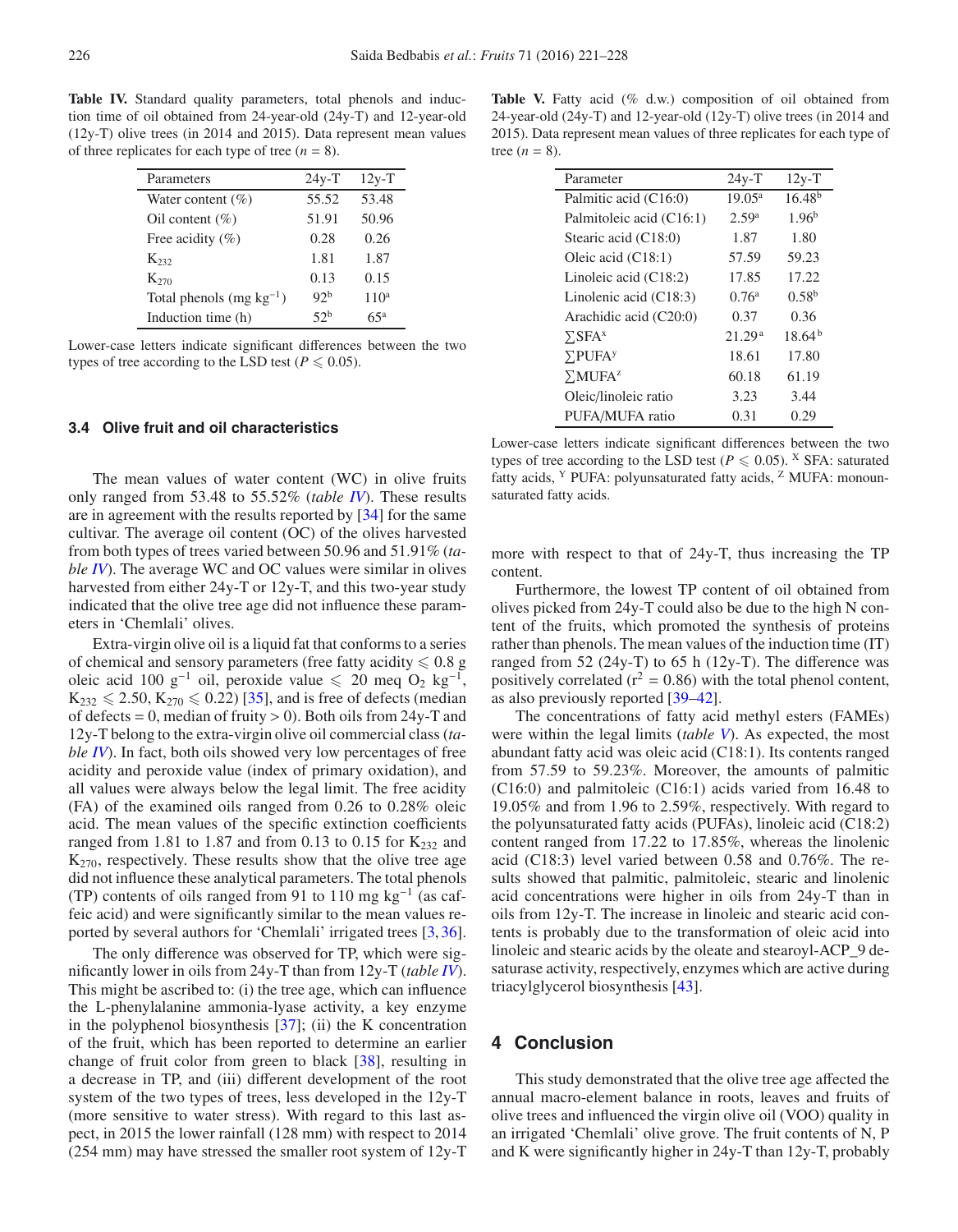<span id="page-5-0"></span>**Table IV.** Standard quality parameters, total phenols and induction time of oil obtained from 24-year-old (24y-T) and 12-year-old (12y-T) olive trees (in 2014 and 2015). Data represent mean values of three replicates for each type of tree  $(n = 8)$ .

| Parameters                   | $24y-T$         | $12y-T$          |
|------------------------------|-----------------|------------------|
| Water content $(\% )$        | 55.52           | 53.48            |
| Oil content $(\% )$          | 51.91           | 50.96            |
| Free acidity $(\% )$         | 0.28            | 0.26             |
| $K_{232}$                    | 1.81            | 1.87             |
| $K_{270}$                    | 0.13            | 0.15             |
| Total phenols $(mg kg^{-1})$ | 92 <sup>b</sup> | 110 <sup>a</sup> |
| Induction time (h)           | 52 <sup>b</sup> | $25^a$           |

Lower-case letters indicate significant differences between the two types of tree according to the LSD test ( $P \le 0.05$ ).

# **3.4 Olive fruit and oil characteristics**

The mean values of water content (WC) in olive fruits only ranged from 53.48 to 55.52% (*table [IV](#page-5-0)*). These results are in agreement with the results reported by [\[34](#page-6-33)] for the same cultivar. The average oil content (OC) of the olives harvested from both types of trees varied between 50.96 and 51.91% (*table [IV](#page-5-0)*). The average WC and OC values were similar in olives harvested from either 24y-T or 12y-T, and this two-year study indicated that the olive tree age did not influence these parameters in 'Chemlali' olives.

Extra-virgin olive oil is a liquid fat that conforms to a series of chemical and sensory parameters (free fatty acidity  $\leqslant 0.8$  g oleic acid 100 g<sup>-1</sup> oil, peroxide value  $\leq 20$  meq O<sub>2</sub> kg<sup>-1</sup>,  $K_{232} \le 2.50, K_{270} \le 0.22$  [\[35\]](#page-7-0), and is free of defects (median of defects = 0, median of fruity > 0). Both oils from 24y-T and 12y-T belong to the extra-virgin olive oil commercial class (*table [IV](#page-5-0)*). In fact, both oils showed very low percentages of free acidity and peroxide value (index of primary oxidation), and all values were always below the legal limit. The free acidity (FA) of the examined oils ranged from 0.26 to 0.28% oleic acid. The mean values of the specific extinction coefficients ranged from 1.81 to 1.87 and from 0.13 to 0.15 for  $K_{232}$  and  $K_{270}$ , respectively. These results show that the olive tree age did not influence these analytical parameters. The total phenols (TP) contents of oils ranged from 91 to 110 mg kg<sup>-1</sup> (as caffeic acid) and were significantly similar to the mean values reported by several authors for 'Chemlali' irrigated trees [\[3,](#page-6-2)[36](#page-7-1)].

The only difference was observed for TP, which were significantly lower in oils from 24y-T than from 12y-T (*table [IV](#page-5-0)*). This might be ascribed to: (i) the tree age, which can influence the L-phenylalanine ammonia-lyase activity, a key enzyme in the polyphenol biosynthesis [\[37](#page-7-2)]; (ii) the K concentration of the fruit, which has been reported to determine an earlier change of fruit color from green to black [\[38](#page-7-3)], resulting in a decrease in TP, and (iii) different development of the root system of the two types of trees, less developed in the 12y-T (more sensitive to water stress). With regard to this last aspect, in 2015 the lower rainfall (128 mm) with respect to 2014 (254 mm) may have stressed the smaller root system of 12y-T

<span id="page-5-1"></span>Table V. Fatty acid (% d.w.) composition of oil obtained from 24-year-old (24y-T) and 12-year-old (12y-T) olive trees (in 2014 and 2015). Data represent mean values of three replicates for each type of tree  $(n = 8)$ .

| Parameter                  | $24y-T$            | $12y-T$     |
|----------------------------|--------------------|-------------|
| Palmitic acid (C16:0)      | $19.05^{\circ}$    | $16.48^{b}$ |
| Palmitoleic acid (C16:1)   | 2.59 <sup>a</sup>  | $1.96^{b}$  |
| Stearic acid (C18:0)       | 1.87               | 1.80        |
| Oleic acid $(C18:1)$       | 57.59              | 59.23       |
| Linoleic acid $(C18:2)$    | 17.85              | 17.22       |
| Linolenic acid $(C18:3)$   | 0.76 <sup>a</sup>  | $0.58^{b}$  |
| Arachidic acid (C20:0)     | 0.37               | 0.36        |
| $\Sigma$ SFA <sup>x</sup>  | 21.29 <sup>a</sup> | $18.64^{b}$ |
| $\Sigma$ PUFA <sup>y</sup> | 18.61              | 17.80       |
| $\Sigma MUFA^z$            | 60.18              | 61.19       |
| Oleic/linoleic ratio       | 3.23               | 3.44        |
| PUFA/MUFA ratio            | 0.31               | 0.29        |

Lower-case letters indicate significant differences between the two types of tree according to the LSD test ( $P \le 0.05$ ). <sup>X</sup> SFA: saturated fatty acids, <sup>Y</sup> PUFA: polyunsaturated fatty acids, <sup>Z</sup> MUFA: monounsaturated fatty acids.

more with respect to that of 24y-T, thus increasing the TP content.

Furthermore, the lowest TP content of oil obtained from olives picked from 24y-T could also be due to the high N content of the fruits, which promoted the synthesis of proteins rather than phenols. The mean values of the induction time (IT) ranged from 52 (24y-T) to 65 h (12y-T). The difference was positively correlated ( $r^2 = 0.86$ ) with the total phenol content, as also previously reported [\[39](#page-7-4)[–42\]](#page-7-5).

The concentrations of fatty acid methyl esters (FAMEs) were within the legal limits (*table [V](#page-5-1)*). As expected, the most abundant fatty acid was oleic acid (C18:1). Its contents ranged from 57.59 to 59.23%. Moreover, the amounts of palmitic (C16:0) and palmitoleic (C16:1) acids varied from 16.48 to 19.05% and from 1.96 to 2.59%, respectively. With regard to the polyunsaturated fatty acids (PUFAs), linoleic acid (C18:2) content ranged from 17.22 to 17.85%, whereas the linolenic acid (C18:3) level varied between 0.58 and 0.76%. The results showed that palmitic, palmitoleic, stearic and linolenic acid concentrations were higher in oils from 24y-T than in oils from 12y-T. The increase in linoleic and stearic acid contents is probably due to the transformation of oleic acid into linoleic and stearic acids by the oleate and stearoyl-ACP\_9 desaturase activity, respectively, enzymes which are active during triacylglycerol biosynthesis [\[43\]](#page-7-6).

# **4 Conclusion**

This study demonstrated that the olive tree age affected the annual macro-element balance in roots, leaves and fruits of olive trees and influenced the virgin olive oil (VOO) quality in an irrigated 'Chemlali' olive grove. The fruit contents of N, P and K were significantly higher in 24y-T than 12y-T, probably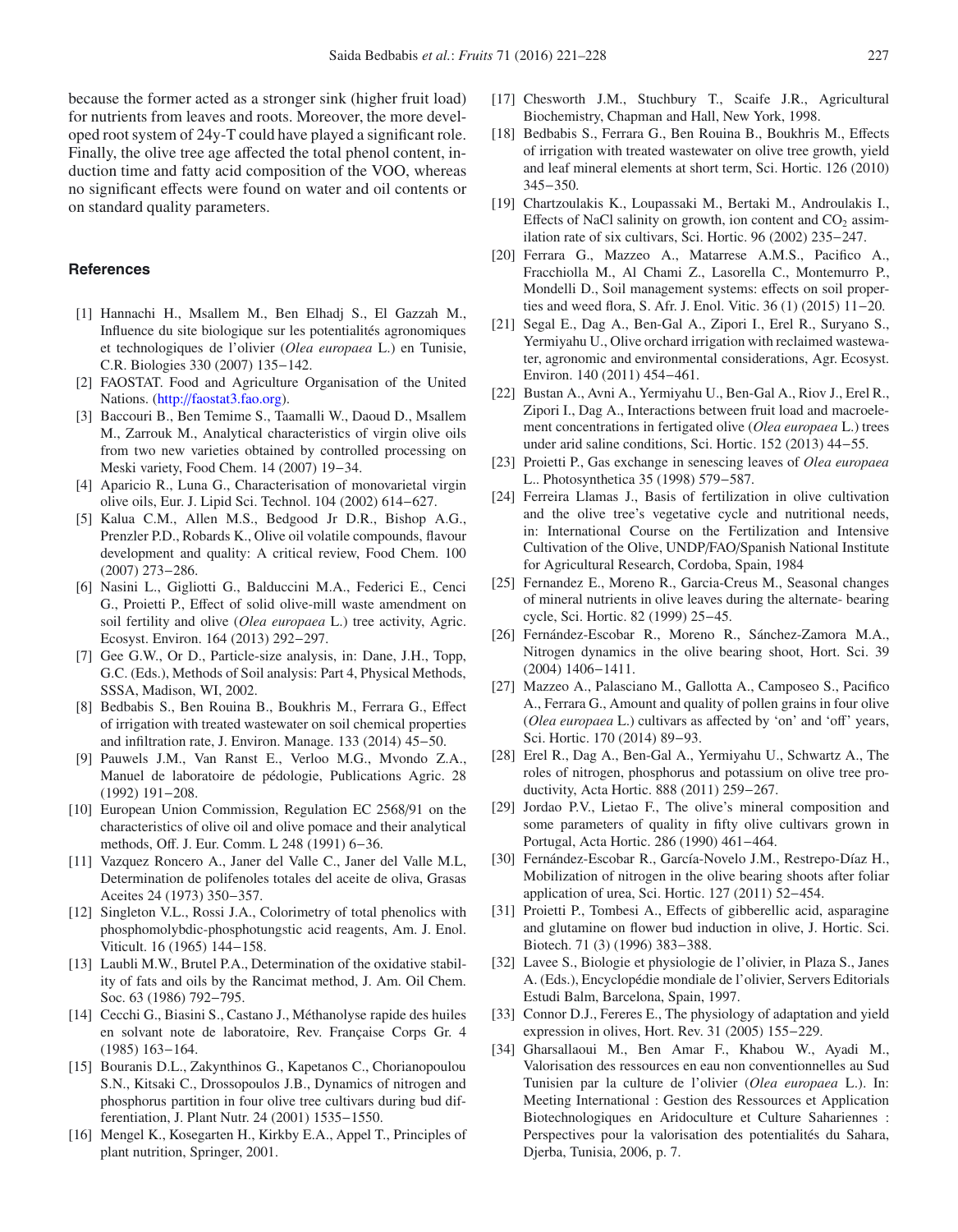because the former acted as a stronger sink (higher fruit load) for nutrients from leaves and roots. Moreover, the more developed root system of 24y-T could have played a significant role. Finally, the olive tree age affected the total phenol content, induction time and fatty acid composition of the VOO, whereas no significant effects were found on water and oil contents or on standard quality parameters.

#### **References**

- <span id="page-6-0"></span>[1] Hannachi H., Msallem M., Ben Elhadj S., El Gazzah M., Influence du site biologique sur les potentialités agronomiques et technologiques de l'olivier (*Olea europaea* L.) en Tunisie, C.R. Biologies 330 (2007) 135−142.
- <span id="page-6-1"></span>[2] FAOSTAT. Food and Agriculture Organisation of the United Nations. (http://[faostat3.fao.org\)](http://faostat3.fao.org).
- <span id="page-6-2"></span>[3] Baccouri B., Ben Temime S., Taamalli W., Daoud D., Msallem M., Zarrouk M., Analytical characteristics of virgin olive oils from two new varieties obtained by controlled processing on Meski variety, Food Chem. 14 (2007) 19−34.
- <span id="page-6-3"></span>[4] Aparicio R., Luna G., Characterisation of monovarietal virgin olive oils, Eur. J. Lipid Sci. Technol. 104 (2002) 614−627.
- <span id="page-6-4"></span>[5] Kalua C.M., Allen M.S., Bedgood Jr D.R., Bishop A.G., Prenzler P.D., Robards K., Olive oil volatile compounds, flavour development and quality: A critical review, Food Chem. 100 (2007) 273−286.
- <span id="page-6-5"></span>[6] Nasini L., Gigliotti G., Balduccini M.A., Federici E., Cenci G., Proietti P., Effect of solid olive-mill waste amendment on soil fertility and olive (*Olea europaea* L.) tree activity, Agric. Ecosyst. Environ. 164 (2013) 292−297.
- <span id="page-6-6"></span>[7] Gee G.W., Or D., Particle-size analysis, in: Dane, J.H., Topp, G.C. (Eds.), Methods of Soil analysis: Part 4, Physical Methods, SSSA, Madison, WI, 2002.
- <span id="page-6-7"></span>[8] Bedbabis S., Ben Rouina B., Boukhris M., Ferrara G., Effect of irrigation with treated wastewater on soil chemical properties and infiltration rate, J. Environ. Manage. 133 (2014) 45−50.
- <span id="page-6-8"></span>[9] Pauwels J.M., Van Ranst E., Verloo M.G., Mvondo Z.A., Manuel de laboratoire de pédologie, Publications Agric. 28 (1992) 191−208.
- <span id="page-6-9"></span>[10] European Union Commission, Regulation EC 2568/91 on the characteristics of olive oil and olive pomace and their analytical methods, Off. J. Eur. Comm. L 248 (1991) 6−36.
- <span id="page-6-10"></span>[11] Vazquez Roncero A., Janer del Valle C., Janer del Valle M.L, Determination de polifenoles totales del aceite de oliva, Grasas Aceites 24 (1973) 350−357.
- <span id="page-6-11"></span>[12] Singleton V.L., Rossi J.A., Colorimetry of total phenolics with phosphomolybdic-phosphotungstic acid reagents, Am. J. Enol. Viticult. 16 (1965) 144−158.
- <span id="page-6-12"></span>[13] Laubli M.W., Brutel P.A., Determination of the oxidative stability of fats and oils by the Rancimat method, J. Am. Oil Chem. Soc. 63 (1986) 792−795.
- <span id="page-6-13"></span>[14] Cecchi G., Biasini S., Castano J., Méthanolyse rapide des huiles en solvant note de laboratoire, Rev. Française Corps Gr. 4 (1985) 163−164.
- <span id="page-6-14"></span>[15] Bouranis D.L., Zakynthinos G., Kapetanos C., Chorianopoulou S.N., Kitsaki C., Drossopoulos J.B., Dynamics of nitrogen and phosphorus partition in four olive tree cultivars during bud differentiation, J. Plant Nutr. 24 (2001) 1535−1550.
- <span id="page-6-15"></span>[16] Mengel K., Kosegarten H., Kirkby E.A., Appel T., Principles of plant nutrition, Springer, 2001.
- <span id="page-6-16"></span>[17] Chesworth J.M., Stuchbury T., Scaife J.R., Agricultural Biochemistry, Chapman and Hall, New York, 1998.
- <span id="page-6-17"></span>[18] Bedbabis S., Ferrara G., Ben Rouina B., Boukhris M., Effects of irrigation with treated wastewater on olive tree growth, yield and leaf mineral elements at short term, Sci. Hortic. 126 (2010) 345−350.
- <span id="page-6-18"></span>[19] Chartzoulakis K., Loupassaki M., Bertaki M., Androulakis I., Effects of NaCl salinity on growth, ion content and  $CO<sub>2</sub>$  assimilation rate of six cultivars, Sci. Hortic. 96 (2002) 235−247.
- <span id="page-6-19"></span>[20] Ferrara G., Mazzeo A., Matarrese A.M.S., Pacifico A., Fracchiolla M., Al Chami Z., Lasorella C., Montemurro P., Mondelli D., Soil management systems: effects on soil properties and weed flora, S. Afr. J. Enol. Vitic. 36 (1) (2015) 11−20.
- <span id="page-6-20"></span>[21] Segal E., Dag A., Ben-Gal A., Zipori I., Erel R., Suryano S., Yermiyahu U., Olive orchard irrigation with reclaimed wastewater, agronomic and environmental considerations, Agr. Ecosyst. Environ. 140 (2011) 454−461.
- <span id="page-6-24"></span>[22] Bustan A., Avni A., Yermiyahu U., Ben-Gal A., Riov J., Erel R., Zipori I., Dag A., Interactions between fruit load and macroelement concentrations in fertigated olive (*Olea europaea* L.) trees under arid saline conditions, Sci. Hortic. 152 (2013) 44−55.
- <span id="page-6-21"></span>[23] Proietti P., Gas exchange in senescing leaves of *Olea europaea* L.. Photosynthetica 35 (1998) 579−587.
- <span id="page-6-22"></span>[24] Ferreira Llamas J., Basis of fertilization in olive cultivation and the olive tree's vegetative cycle and nutritional needs, in: International Course on the Fertilization and Intensive Cultivation of the Olive, UNDP/FAO/Spanish National Institute for Agricultural Research, Cordoba, Spain, 1984
- <span id="page-6-23"></span>[25] Fernandez E., Moreno R., Garcia-Creus M., Seasonal changes of mineral nutrients in olive leaves during the alternate- bearing cycle, Sci. Hortic. 82 (1999) 25−45.
- <span id="page-6-25"></span>[26] Fernández-Escobar R., Moreno R., Sánchez-Zamora M.A., Nitrogen dynamics in the olive bearing shoot, Hort. Sci. 39 (2004) 1406−1411.
- <span id="page-6-26"></span>[27] Mazzeo A., Palasciano M., Gallotta A., Camposeo S., Pacifico A., Ferrara G., Amount and quality of pollen grains in four olive (*Olea europaea* L.) cultivars as affected by 'on' and 'off' years, Sci. Hortic. 170 (2014) 89−93.
- <span id="page-6-27"></span>[28] Erel R., Dag A., Ben-Gal A., Yermiyahu U., Schwartz A., The roles of nitrogen, phosphorus and potassium on olive tree productivity, Acta Hortic. 888 (2011) 259−267.
- <span id="page-6-28"></span>[29] Jordao P.V., Lietao F., The olive's mineral composition and some parameters of quality in fifty olive cultivars grown in Portugal, Acta Hortic. 286 (1990) 461−464.
- <span id="page-6-29"></span>[30] Fernández-Escobar R., García-Novelo J.M., Restrepo-Díaz H., Mobilization of nitrogen in the olive bearing shoots after foliar application of urea, Sci. Hortic. 127 (2011) 52−454.
- <span id="page-6-30"></span>[31] Proietti P., Tombesi A., Effects of gibberellic acid, asparagine and glutamine on flower bud induction in olive, J. Hortic. Sci. Biotech. 71 (3) (1996) 383−388.
- <span id="page-6-31"></span>[32] Lavee S., Biologie et physiologie de l'olivier, in Plaza S., Janes A. (Eds.), Encyclopédie mondiale de l'olivier, Servers Editorials Estudi Balm, Barcelona, Spain, 1997.
- <span id="page-6-32"></span>[33] Connor D.J., Fereres E., The physiology of adaptation and yield expression in olives, Hort. Rev. 31 (2005) 155−229.
- <span id="page-6-33"></span>[34] Gharsallaoui M., Ben Amar F., Khabou W., Ayadi M., Valorisation des ressources en eau non conventionnelles au Sud Tunisien par la culture de l'olivier (*Olea europaea* L.). In: Meeting International : Gestion des Ressources et Application Biotechnologiques en Aridoculture et Culture Sahariennes : Perspectives pour la valorisation des potentialités du Sahara, Djerba, Tunisia, 2006, p. 7.